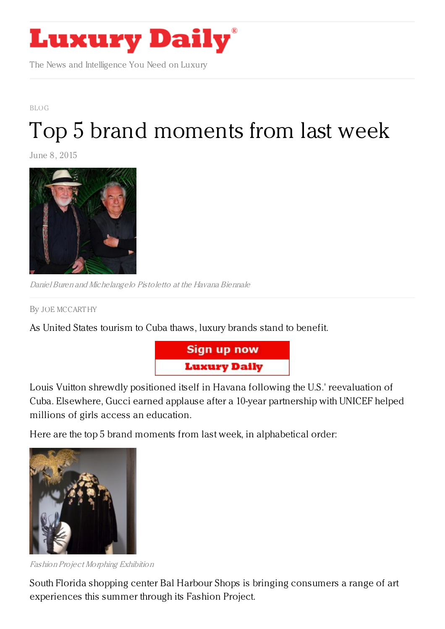

The News and Intelligence You Need on Luxury

## [BLOG](https://www.luxurydaily.com/category/opinion/blog/) Top 5 brand [moments](https://www.luxurydaily.com/top-5-brand-moments-from-last-week-37/) from last week

June 8, 2015



Daniel Buren and Michelangelo Pistoletto at the Havana Biennale

By JOE [MCCART](/author/joe-mccarthy) HY

As United States tourism to Cuba thaws, luxury brands stand to benefit.



Louis Vuitton shrewdly positioned itself in Havana following the U.S.' reevaluation of Cuba. Elsewhere, Gucci earned applause after a 10-year partnership with UNICEF helped millions of girls access an education.

Here are the top 5 brand moments from last week, in alphabetical order:



Fashion Project Morphing Exhibition

South Florida shopping center Bal Harbour Shops is bringing consumers a range of art experiences this summer through its Fashion Project.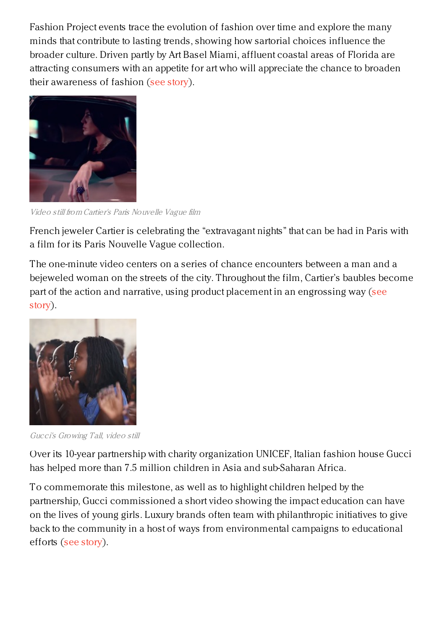Fashion Project events trace the evolution of fashion over time and explore the many minds that contribute to lasting trends, showing how sartorial choices influence the broader culture. Driven partly by Art Basel Miami, affluent coastal areas of Florida are attracting consumers with an appetite for art who will appreciate the chance to broaden their awareness of fashion (see [story](https://www.luxurydaily.com/bal-harbour-shops-caters-to-growing-interest-in-art-through-cultural-space/)).



Video still from Cartier's Paris Nouvelle Vague film

French jeweler Cartier is celebrating the "extravagant nights" that can be had in Paris with a film for its Paris Nouvelle Vague collection.

The one-minute video centers on a series of chance encounters between a man and a bejeweled woman on the streets of the city. Throughout the film, Cartier's baubles become part of the action and narrative, using product placement in an [engrossing](https://www.luxurydaily.com/cartier-captures-adventurous-parisian-spirit-in-exuberant-narrative/) way (see story).



Gucci's Growing Tall, video still

Over its 10-year partnership with charity organization UNICEF, Italian fashion house Gucci has helped more than 7.5 million children in Asia and sub-Saharan Africa.

To commemorate this milestone, as well as to highlight children helped by the partnership, Gucci commissioned a short video showing the impact education can have on the lives of young girls. Luxury brands often team with philanthropic initiatives to give back to the community in a host of ways from environmental campaigns to educational efforts (see [story](https://www.luxurydaily.com/gucci-unicef-continue-to-bring-education-to-underprivileged-girls/)).